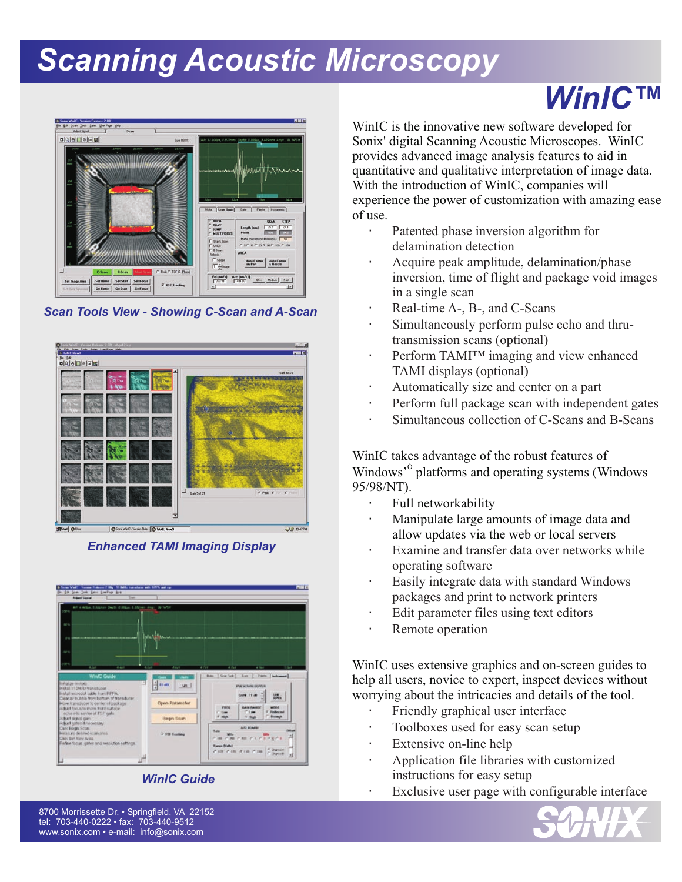# *Scanning Acoustic Microscopy*



*Scan Tools View - Showing C-Scan and A-Scan*



*Enhanced TAMI Imaging Display*





### *WinIC™*

WinIC is the innovative new software developed for Sonix' digital Scanning Acoustic Microscopes. WinIC With the introduction of WinIC, companies will experience the power of customization with amazing ease of use. provides advanced image analysis features to aid in quantitative and qualitative interpretation of image data.

> Patented phase inversion algorithm for delamination detection

Acquire peak amplitude, delamination/phase inversion, time of flight and package void images in a single scan

Real-time A-, B-, and C-Scans Simultaneously perform pulse echo and thrutransmission scans (optional) Perform TAMI™ imaging and view enhanced TAMI displays (optional)

Automatically size and center on a part Perform full package scan with independent gates Simultaneous collection of C-Scans and B-Scans

WinIC takes advantage of the robust features of Windows' platforms and operating systems (Windows 95/98/NT).

Full networkability

Manipulate large amounts of image data and allow updates via the web or local servers Examine and transfer data over networks while operating software

Easily integrate data with standard Windows packages and print to network printers Edit parameter files using text editors Remote operation

WinIC uses extensive graphics and on-screen guides to help all users, novice to expert, inspect devices without worrying about the intricacies and details of the tool.

Friendly graphical user interface

Toolboxes used for easy scan setup

Extensive on-line help

Application file libraries with customized

instructions for easy setup

Exclusive user page with configurable interface